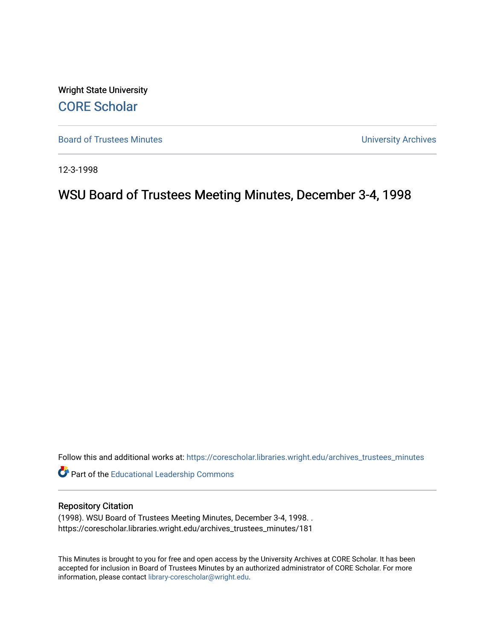Wright State University [CORE Scholar](https://corescholar.libraries.wright.edu/)

[Board of Trustees Minutes](https://corescholar.libraries.wright.edu/archives_trustees_minutes) **Exercise 2018** Solution 2018 10:30 Minutes University Archives

12-3-1998

# WSU Board of Trustees Meeting Minutes, December 3-4, 1998

Follow this and additional works at: [https://corescholar.libraries.wright.edu/archives\\_trustees\\_minutes](https://corescholar.libraries.wright.edu/archives_trustees_minutes?utm_source=corescholar.libraries.wright.edu%2Farchives_trustees_minutes%2F181&utm_medium=PDF&utm_campaign=PDFCoverPages) 

Part of the [Educational Leadership Commons](http://network.bepress.com/hgg/discipline/1230?utm_source=corescholar.libraries.wright.edu%2Farchives_trustees_minutes%2F181&utm_medium=PDF&utm_campaign=PDFCoverPages) 

#### Repository Citation

(1998). WSU Board of Trustees Meeting Minutes, December 3-4, 1998. . https://corescholar.libraries.wright.edu/archives\_trustees\_minutes/181

This Minutes is brought to you for free and open access by the University Archives at CORE Scholar. It has been accepted for inclusion in Board of Trustees Minutes by an authorized administrator of CORE Scholar. For more information, please contact [library-corescholar@wright.edu.](mailto:library-corescholar@wright.edu)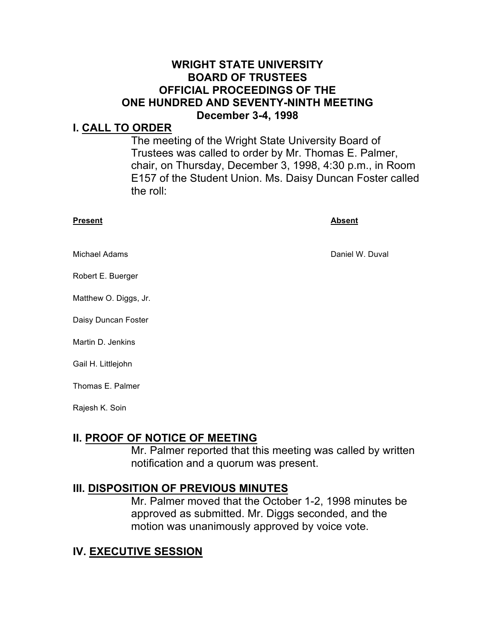#### **WRIGHT STATE UNIVERSITY BOARD OF TRUSTEES OFFICIAL PROCEEDINGS OF THE ONE HUNDRED AND SEVENTY-NINTH MEETING December 3-4, 1998**

#### **I. CALL TO ORDER**

 The meeting of the Wright State University Board of Trustees was called to order by Mr. Thomas E. Palmer, chair, on Thursday, December 3, 1998, 4:30 p.m., in Room E157 of the Student Union. Ms. Daisy Duncan Foster called the roll:

| <b>Present</b>        | <b>Absent</b>   |
|-----------------------|-----------------|
| <b>Michael Adams</b>  | Daniel W. Duval |
| Robert E. Buerger     |                 |
| Matthew O. Diggs, Jr. |                 |
| Daisy Duncan Foster   |                 |
| Martin D. Jenkins     |                 |
| Gail H. Littlejohn    |                 |
| Thomas E. Palmer      |                 |

Rajesh K. Soin

#### **II. PROOF OF NOTICE OF MEETING**

 Mr. Palmer reported that this meeting was called by written notification and a quorum was present.

#### **III. DISPOSITION OF PREVIOUS MINUTES**

 Mr. Palmer moved that the October 1-2, 1998 minutes be approved as submitted. Mr. Diggs seconded, and the motion was unanimously approved by voice vote.

#### **IV. EXECUTIVE SESSION**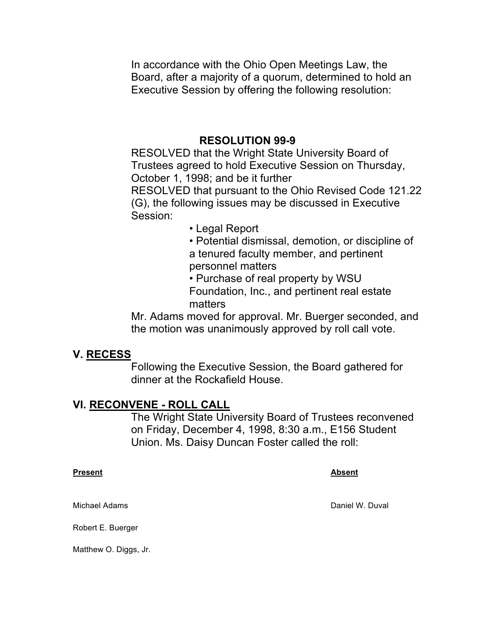Board, after a majority of a quorum, determined to hold an In accordance with the Ohio Open Meetings Law, the Executive Session by offering the following resolution:

#### **RESOLUTION 99-9**

 RESOLVED that the Wright State University Board of October 1, 1998; and be it further Trustees agreed to hold Executive Session on Thursday,

 RESOLVED that pursuant to the Ohio Revised Code 121.22 (G), the following issues may be discussed in Executive Session:

• Legal Report

 • Potential dismissal, demotion, or discipline of a tenured faculty member, and pertinent personnel matters

 • Purchase of real property by WSU Foundation, Inc., and pertinent real estate matters

 Mr. Adams moved for approval. Mr. Buerger seconded, and the motion was unanimously approved by roll call vote.

#### **V. RECESS**

 dinner at the Rockafield House. Following the Executive Session, the Board gathered for

#### **VI. RECONVENE - ROLL CALL**

 on Friday, December 4, 1998, 8:30 a.m., E156 Student Union. Ms. Daisy Duncan Foster called the roll: The Wright State University Board of Trustees reconvened

#### **Present Absent** Absent Absent Absent Absent Absent Absent Absent Absent Absent Absent Absent Absent Absent Absent

Michael Adams **Daniel W. Duval** 

Robert E. Buerger

Matthew O. Diggs, Jr.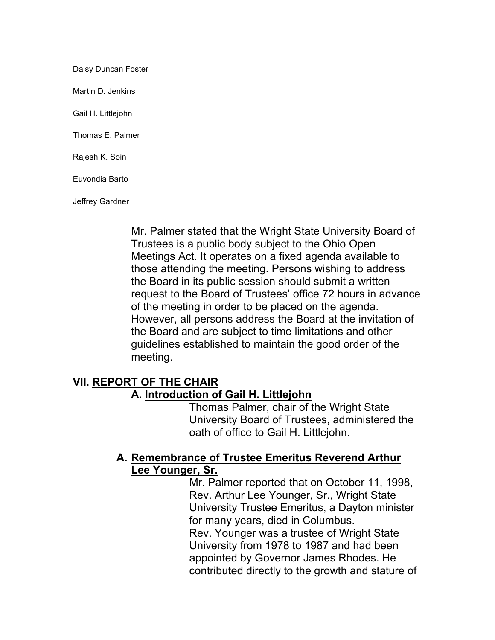Daisy Duncan Foster Martin D. Jenkins Gail H. Littlejohn Thomas E. Palmer Rajesh K. Soin Euvondia Barto Jeffrey Gardner

> Mr. Palmer stated that the Wright State University Board of Meetings Act. It operates on a fixed agenda available to However, all persons address the Board at the invitation of guidelines established to maintain the good order of the Trustees is a public body subject to the Ohio Open those attending the meeting. Persons wishing to address the Board in its public session should submit a written request to the Board of Trustees' office 72 hours in advance of the meeting in order to be placed on the agenda. the Board and are subject to time limitations and other meeting.

### **VII. REPORT OF THE CHAIR**

#### **A. Introduction of Gail H. Littlejohn**

 Thomas Palmer, chair of the Wright State University Board of Trustees, administered the oath of office to Gail H. Littlejohn.

### **A. Remembrance of Trustee Emeritus Reverend Arthur Lee Younger, Sr.**

 Mr. Palmer reported that on October 11, 1998, Rev. Arthur Lee Younger, Sr., Wright State University Trustee Emeritus, a Dayton minister Rev. Younger was a trustee of Wright State University from 1978 to 1987 and had been for many years, died in Columbus. appointed by Governor James Rhodes. He contributed directly to the growth and stature of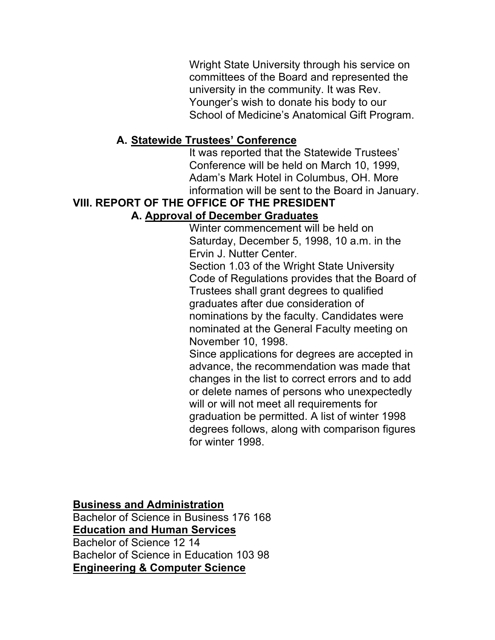Wright State University through his service on university in the community. It was Rev. School of Medicine's Anatomical Gift Program. committees of the Board and represented the Younger's wish to donate his body to our

#### **A. Statewide Trustees' Conference**

 Conference will be held on March 10, 1999, Adam's Mark Hotel in Columbus, OH. More It was reported that the Statewide Trustees' information will be sent to the Board in January.

#### **VIII. REPORT OF THE OFFICE OF THE PRESIDENT**

#### **A. Approval of December Graduates**

 Winter commencement will be held on Saturday, December 5, 1998, 10 a.m. in the Ervin J. Nutter Center.

 Section 1.03 of the Wright State University Code of Regulations provides that the Board of Trustees shall grant degrees to qualified November 10, 1998. graduates after due consideration of nominations by the faculty. Candidates were nominated at the General Faculty meeting on

 Since applications for degrees are accepted in changes in the list to correct errors and to add will or will not meet all requirements for graduation be permitted. A list of winter 1998 advance, the recommendation was made that or delete names of persons who unexpectedly degrees follows, along with comparison figures for winter 1998.

 **Business and Administration** 

 Bachelor of Science in Business 176 168 Bachelor of Science 12 14 Bachelor of Science in Education 103 98 **Education and Human Services Engineering & Computer Science**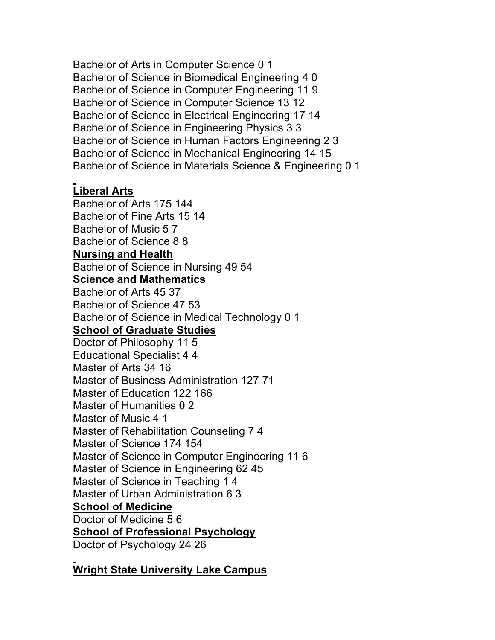Bachelor of Arts in Computer Science 0 1 Bachelor of Science in Biomedical Engineering 4 0 Bachelor of Science in Computer Engineering 11 9 Bachelor of Science in Computer Science 13 12 Bachelor of Science in Electrical Engineering 17 14 Bachelor of Science in Engineering Physics 3 3 Bachelor of Science in Human Factors Engineering 2 3 Bachelor of Science in Mechanical Engineering 14 15 Bachelor of Science in Materials Science & Engineering 0 1

#### **Liberal Arts**

 Bachelor of Arts 175 144 Bachelor of Fine Arts 15 14 Bachelor of Music 5 7 Bachelor of Science 8 8  **Nursing and Health**  Bachelor of Science in Nursing 49 54 Bachelor of Arts 45 37 Bachelor of Science 47 53 Bachelor of Science in Medical Technology 0 1  **School of Graduate Studies**  Doctor of Philosophy 11 5 Educational Specialist 4 4 Master of Arts 34 16 Master of Business Administration 127 71 Master of Education 122 166 Master of Humanities 0 2 Master of Music 4 1 Master of Rehabilitation Counseling 7 4 Master of Science 174 154 Master of Science in Computer Engineering 11 6 Master of Science in Engineering 62 45 Master of Science in Teaching 1 4 Master of Urban Administration 6 3  **School of Medicine**  Doctor of Medicine 5 6  **School of Professional Psychology**  Doctor of Psychology 24 26 **Science and Mathematics** 

#### **Wright State University Lake Campus**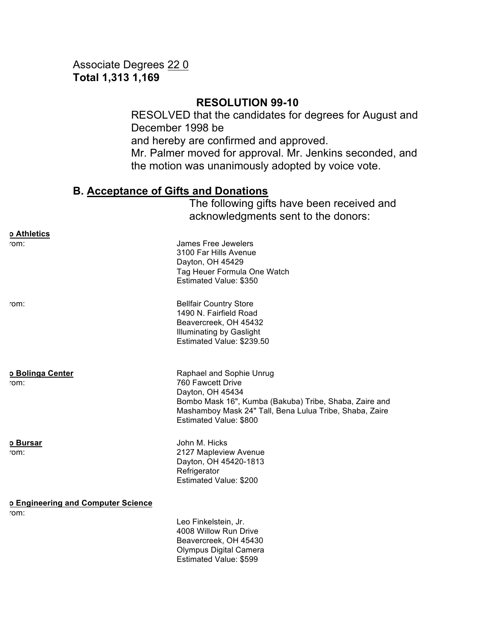#### **Total 1,313 1,169**  Associate Degrees 22 0

#### **RESOLUTION 99-10**

 RESOLVED that the candidates for degrees for August and December 1998 be Mr. Palmer moved for approval. Mr. Jenkins seconded, and and hereby are confirmed and approved. the motion was unanimously adopted by voice vote.

#### **B. Acceptance of Gifts and Donations**

The following gifts have been received and acknowledgments sent to the donors:

| rom:                                       | James Free Jewelers<br>3100 Far Hills Avenue<br>Dayton, OH 45429<br>Tag Heuer Formula One Watch<br>Estimated Value: \$350                                                                                        |
|--------------------------------------------|------------------------------------------------------------------------------------------------------------------------------------------------------------------------------------------------------------------|
| rom:                                       | <b>Bellfair Country Store</b><br>1490 N. Fairfield Road<br>Beavercreek, OH 45432<br><b>Illuminating by Gaslight</b><br>Estimated Value: \$239.50                                                                 |
| o Bolinga Center<br>rom:                   | Raphael and Sophie Unrug<br>760 Fawcett Drive<br>Dayton, OH 45434<br>Bombo Mask 16", Kumba (Bakuba) Tribe, Shaba, Zaire and<br>Mashamboy Mask 24" Tall, Bena Lulua Tribe, Shaba, Zaire<br>Estimated Value: \$800 |
| <u>o Bursar</u><br>rom:                    | John M. Hicks<br>2127 Mapleview Avenue<br>Dayton, OH 45420-1813<br>Refrigerator<br>Estimated Value: \$200                                                                                                        |
| o Engineering and Computer Science<br>rom: |                                                                                                                                                                                                                  |
|                                            | Leo Finkelstein, Jr.<br>4008 Willow Run Drive<br>Beavercreek, OH 45430<br>Olympus Digital Camera<br>Estimated Value: \$599                                                                                       |

**o Athletics**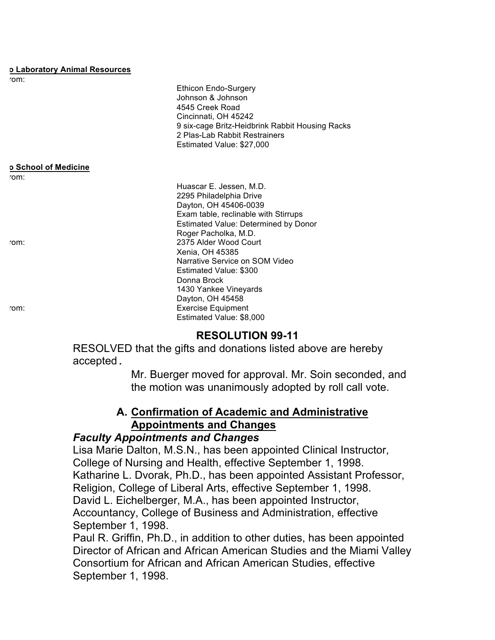#### **o Laboratory Animal Resources**

| rom:                        |                                                                         |
|-----------------------------|-------------------------------------------------------------------------|
|                             | <b>Ethicon Endo-Surgery</b>                                             |
|                             | Johnson & Johnson                                                       |
|                             | 4545 Creek Road                                                         |
|                             | Cincinnati, OH 45242<br>9 six-cage Britz-Heidbrink Rabbit Housing Racks |
|                             | 2 Plas-Lab Rabbit Restrainers                                           |
|                             | Estimated Value: \$27,000                                               |
|                             |                                                                         |
| <b>p School of Medicine</b> |                                                                         |
| rom:                        |                                                                         |
|                             | Huascar E. Jessen, M.D.                                                 |
|                             | 2295 Philadelphia Drive                                                 |
|                             | Dayton, OH 45406-0039                                                   |
|                             | Exam table, reclinable with Stirrups                                    |
|                             | Estimated Value: Determined by Donor                                    |
|                             | Roger Pacholka, M.D.                                                    |
| rom:                        | 2375 Alder Wood Court                                                   |
|                             | Xenia, OH 45385                                                         |
|                             | Narrative Service on SOM Video                                          |
|                             | Estimated Value: \$300<br>Donna Brock                                   |
|                             | 1430 Yankee Vineyards                                                   |
|                             | Dayton, OH 45458                                                        |
| rom:                        | <b>Exercise Equipment</b>                                               |
|                             | Estimated Value: \$8,000                                                |

### **RESOLUTION 99-11**

 RESOLVED that the gifts and donations listed above are hereby accepted.

> Mr. Buerger moved for approval. Mr. Soin seconded, and the motion was unanimously adopted by roll call vote.

# **A. Confirmation of Academic and Administrative Appointments and Changes**

#### *Faculty Appointments and Changes*

 Lisa Marie Dalton, M.S.N., has been appointed Clinical Instructor, College of Nursing and Health, effective September 1, 1998. Katharine L. Dvorak, Ph.D., has been appointed Assistant Professor, Religion, College of Liberal Arts, effective September 1, 1998. David L. Eichelberger, M.A., has been appointed Instructor, Accountancy, College of Business and Administration, effective September 1, 1998.

 Paul R. Griffin, Ph.D., in addition to other duties, has been appointed Director of African and African American Studies and the Miami Valley Consortium for African and African American Studies, effective September 1, 1998.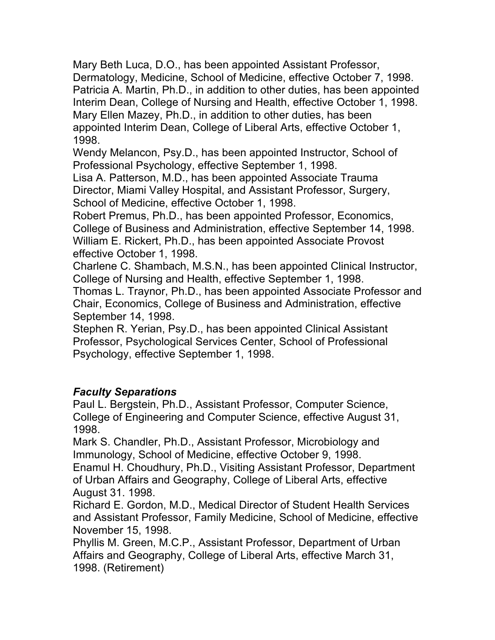Mary Beth Luca, D.O., has been appointed Assistant Professor, Dermatology, Medicine, School of Medicine, effective October 7, 1998. Patricia A. Martin, Ph.D., in addition to other duties, has been appointed Mary Ellen Mazey, Ph.D., in addition to other duties, has been appointed Interim Dean, College of Liberal Arts, effective October 1, Interim Dean, College of Nursing and Health, effective October 1, 1998. 1998.

 Wendy Melancon, Psy.D., has been appointed Instructor, School of Professional Psychology, effective September 1, 1998.

 Lisa A. Patterson, M.D., has been appointed Associate Trauma Director, Miami Valley Hospital, and Assistant Professor, Surgery, School of Medicine, effective October 1, 1998.

 Robert Premus, Ph.D., has been appointed Professor, Economics, College of Business and Administration, effective September 14, 1998. William E. Rickert, Ph.D., has been appointed Associate Provost effective October 1, 1998.

 Charlene C. Shambach, M.S.N., has been appointed Clinical Instructor, College of Nursing and Health, effective September 1, 1998.

 Thomas L. Traynor, Ph.D., has been appointed Associate Professor and Chair, Economics, College of Business and Administration, effective September 14, 1998.

 Stephen R. Yerian, Psy.D., has been appointed Clinical Assistant Professor, Psychological Services Center, School of Professional Psychology, effective September 1, 1998.

# *Faculty Separations*

 Paul L. Bergstein, Ph.D., Assistant Professor, Computer Science, College of Engineering and Computer Science, effective August 31, 1998.

Mark S. Chandler, Ph.D., Assistant Professor, Microbiology and Immunology, School of Medicine, effective October 9, 1998.

 Enamul H. Choudhury, Ph.D., Visiting Assistant Professor, Department of Urban Affairs and Geography, College of Liberal Arts, effective August 31. 1998.

 Richard E. Gordon, M.D., Medical Director of Student Health Services and Assistant Professor, Family Medicine, School of Medicine, effective November 15, 1998.

 Phyllis M. Green, M.C.P., Assistant Professor, Department of Urban Affairs and Geography, College of Liberal Arts, effective March 31, 1998. (Retirement)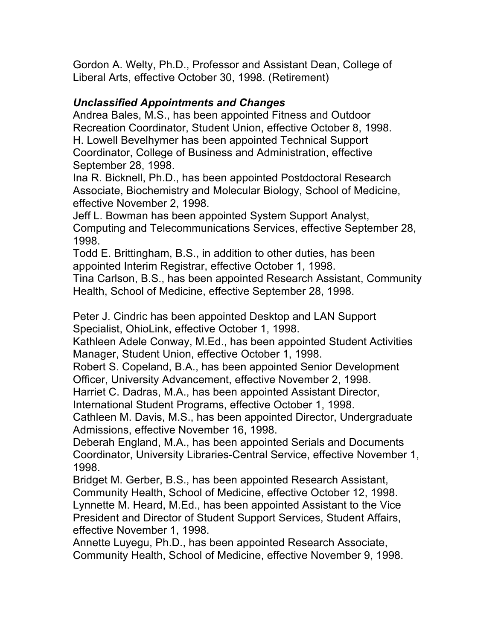Gordon A. Welty, Ph.D., Professor and Assistant Dean, College of Liberal Arts, effective October 30, 1998. (Retirement)

## *Unclassified Appointments and Changes*

 Andrea Bales, M.S., has been appointed Fitness and Outdoor Recreation Coordinator, Student Union, effective October 8, 1998. H. Lowell Bevelhymer has been appointed Technical Support Coordinator, College of Business and Administration, effective September 28, 1998.

 Associate, Biochemistry and Molecular Biology, School of Medicine, effective November 2, 1998. Ina R. Bicknell, Ph.D., has been appointed Postdoctoral Research

 Jeff L. Bowman has been appointed System Support Analyst, Computing and Telecommunications Services, effective September 28, 1998.

 Todd E. Brittingham, B.S., in addition to other duties, has been appointed Interim Registrar, effective October 1, 1998.

 Tina Carlson, B.S., has been appointed Research Assistant, Community Health, School of Medicine, effective September 28, 1998.

 Peter J. Cindric has been appointed Desktop and LAN Support Specialist, OhioLink, effective October 1, 1998.

 Kathleen Adele Conway, M.Ed., has been appointed Student Activities Manager, Student Union, effective October 1, 1998.

 Robert S. Copeland, B.A., has been appointed Senior Development Officer, University Advancement, effective November 2, 1998.

Harriet C. Dadras, M.A., has been appointed Assistant Director,

International Student Programs, effective October 1, 1998.

 Cathleen M. Davis, M.S., has been appointed Director, Undergraduate Admissions, effective November 16, 1998.

 Deberah England, M.A., has been appointed Serials and Documents Coordinator, University Libraries-Central Service, effective November 1, 1998.

 Bridget M. Gerber, B.S., has been appointed Research Assistant, Community Health, School of Medicine, effective October 12, 1998. Lynnette M. Heard, M.Ed., has been appointed Assistant to the Vice President and Director of Student Support Services, Student Affairs, effective November 1, 1998.

 Annette Luyegu, Ph.D., has been appointed Research Associate, Community Health, School of Medicine, effective November 9, 1998.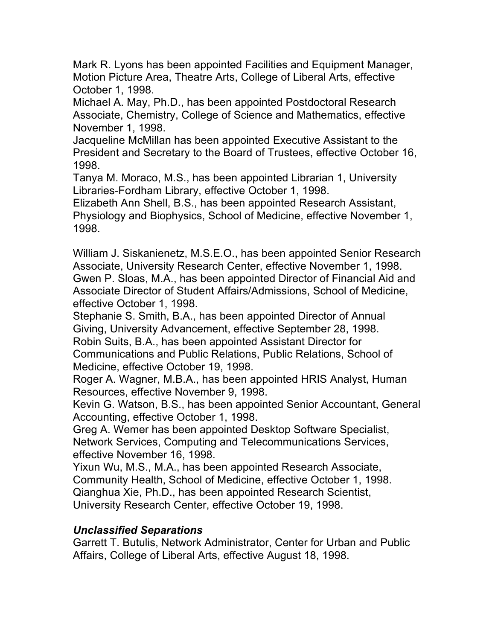Mark R. Lyons has been appointed Facilities and Equipment Manager, Motion Picture Area, Theatre Arts, College of Liberal Arts, effective October 1, 1998.

 Michael A. May, Ph.D., has been appointed Postdoctoral Research Associate, Chemistry, College of Science and Mathematics, effective November 1, 1998.

 President and Secretary to the Board of Trustees, effective October 16, Jacqueline McMillan has been appointed Executive Assistant to the 1998.

 Tanya M. Moraco, M.S., has been appointed Librarian 1, University Libraries-Fordham Library, effective October 1, 1998.

 Elizabeth Ann Shell, B.S., has been appointed Research Assistant, Physiology and Biophysics, School of Medicine, effective November 1, 1998.

 William J. Siskanienetz, M.S.E.O., has been appointed Senior Research Associate, University Research Center, effective November 1, 1998. Gwen P. Sloas, M.A., has been appointed Director of Financial Aid and Associate Director of Student Affairs/Admissions, School of Medicine, effective October 1, 1998.

 Stephanie S. Smith, B.A., has been appointed Director of Annual Giving, University Advancement, effective September 28, 1998. Robin Suits, B.A., has been appointed Assistant Director for Communications and Public Relations, Public Relations, School of

Medicine, effective October 19, 1998.

 Roger A. Wagner, M.B.A., has been appointed HRIS Analyst, Human Resources, effective November 9, 1998.

 Kevin G. Watson, B.S., has been appointed Senior Accountant, General Accounting, effective October 1, 1998.

 Greg A. Wemer has been appointed Desktop Software Specialist, Network Services, Computing and Telecommunications Services, effective November 16, 1998.

 Yixun Wu, M.S., M.A., has been appointed Research Associate, Community Health, School of Medicine, effective October 1, 1998. Qianghua Xie, Ph.D., has been appointed Research Scientist, University Research Center, effective October 19, 1998.

### *Unclassified Separations*

 Garrett T. Butulis, Network Administrator, Center for Urban and Public Affairs, College of Liberal Arts, effective August 18, 1998.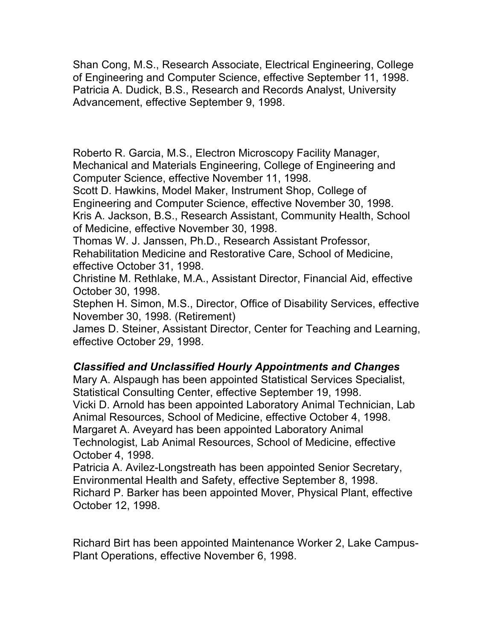Shan Cong, M.S., Research Associate, Electrical Engineering, College of Engineering and Computer Science, effective September 11, 1998. Patricia A. Dudick, B.S., Research and Records Analyst, University Advancement, effective September 9, 1998.

 Roberto R. Garcia, M.S., Electron Microscopy Facility Manager, Mechanical and Materials Engineering, College of Engineering and Computer Science, effective November 11, 1998.

 Scott D. Hawkins, Model Maker, Instrument Shop, College of Engineering and Computer Science, effective November 30, 1998. Kris A. Jackson, B.S., Research Assistant, Community Health, School of Medicine, effective November 30, 1998.

 Thomas W. J. Janssen, Ph.D., Research Assistant Professor, Rehabilitation Medicine and Restorative Care, School of Medicine, effective October 31, 1998.

 Christine M. Rethlake, M.A., Assistant Director, Financial Aid, effective October 30, 1998.

 Stephen H. Simon, M.S., Director, Office of Disability Services, effective November 30, 1998. (Retirement)

 James D. Steiner, Assistant Director, Center for Teaching and Learning, effective October 29, 1998.

### *Classified and Unclassified Hourly Appointments and Changes*

 Mary A. Alspaugh has been appointed Statistical Services Specialist, Statistical Consulting Center, effective September 19, 1998. Vicki D. Arnold has been appointed Laboratory Animal Technician, Lab Animal Resources, School of Medicine, effective October 4, 1998. Margaret A. Aveyard has been appointed Laboratory Animal Technologist, Lab Animal Resources, School of Medicine, effective October 4, 1998.

 Patricia A. Avilez-Longstreath has been appointed Senior Secretary, Environmental Health and Safety, effective September 8, 1998. Richard P. Barker has been appointed Mover, Physical Plant, effective October 12, 1998.

 Richard Birt has been appointed Maintenance Worker 2, Lake Campus-Plant Operations, effective November 6, 1998.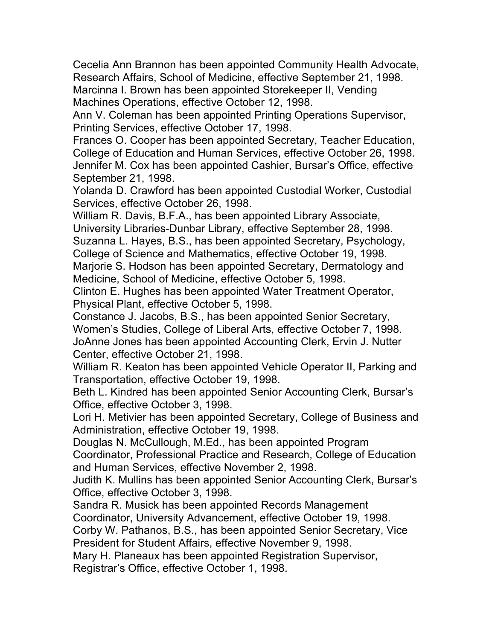Cecelia Ann Brannon has been appointed Community Health Advocate, Research Affairs, School of Medicine, effective September 21, 1998. Marcinna I. Brown has been appointed Storekeeper II, Vending Machines Operations, effective October 12, 1998.

Ann V. Coleman has been appointed Printing Operations Supervisor, Printing Services, effective October 17, 1998.

 Frances O. Cooper has been appointed Secretary, Teacher Education, College of Education and Human Services, effective October 26, 1998. Jennifer M. Cox has been appointed Cashier, Bursar's Office, effective September 21, 1998.

 Yolanda D. Crawford has been appointed Custodial Worker, Custodial Services, effective October 26, 1998.

William R. Davis, B.F.A., has been appointed Library Associate,

University Libraries-Dunbar Library, effective September 28, 1998.

 Suzanna L. Hayes, B.S., has been appointed Secretary, Psychology, College of Science and Mathematics, effective October 19, 1998.

 Marjorie S. Hodson has been appointed Secretary, Dermatology and Medicine, School of Medicine, effective October 5, 1998.

 Clinton E. Hughes has been appointed Water Treatment Operator, Physical Plant, effective October 5, 1998.

 Constance J. Jacobs, B.S., has been appointed Senior Secretary, Women's Studies, College of Liberal Arts, effective October 7, 1998. JoAnne Jones has been appointed Accounting Clerk, Ervin J. Nutter Center, effective October 21, 1998.

 William R. Keaton has been appointed Vehicle Operator II, Parking and Transportation, effective October 19, 1998.

 Beth L. Kindred has been appointed Senior Accounting Clerk, Bursar's Office, effective October 3, 1998.

 Lori H. Metivier has been appointed Secretary, College of Business and Administration, effective October 19, 1998.

Douglas N. McCullough, M.Ed., has been appointed Program

 Coordinator, Professional Practice and Research, College of Education and Human Services, effective November 2, 1998.

 Office, effective October 3, 1998. Judith K. Mullins has been appointed Senior Accounting Clerk, Bursar's

 Sandra R. Musick has been appointed Records Management Coordinator, University Advancement, effective October 19, 1998.

 Corby W. Pathanos, B.S., has been appointed Senior Secretary, Vice President for Student Affairs, effective November 9, 1998.

Mary H. Planeaux has been appointed Registration Supervisor,

Registrar's Office, effective October 1, 1998.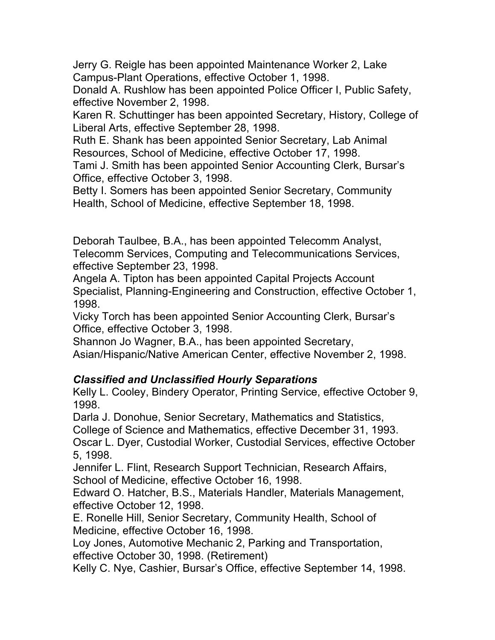Jerry G. Reigle has been appointed Maintenance Worker 2, Lake Campus-Plant Operations, effective October 1, 1998.

 Donald A. Rushlow has been appointed Police Officer I, Public Safety, effective November 2, 1998.

 Karen R. Schuttinger has been appointed Secretary, History, College of Liberal Arts, effective September 28, 1998.

 Ruth E. Shank has been appointed Senior Secretary, Lab Animal Resources, School of Medicine, effective October 17, 1998.

 Tami J. Smith has been appointed Senior Accounting Clerk, Bursar's Office, effective October 3, 1998.

 Betty I. Somers has been appointed Senior Secretary, Community Health, School of Medicine, effective September 18, 1998.

 Deborah Taulbee, B.A., has been appointed Telecomm Analyst, Telecomm Services, Computing and Telecommunications Services, effective September 23, 1998.

 Angela A. Tipton has been appointed Capital Projects Account Specialist, Planning-Engineering and Construction, effective October 1, 1998.

 Vicky Torch has been appointed Senior Accounting Clerk, Bursar's Office, effective October 3, 1998.

Shannon Jo Wagner, B.A., has been appointed Secretary,

Asian/Hispanic/Native American Center, effective November 2, 1998.

### *Classified and Unclassified Hourly Separations*

 Kelly L. Cooley, Bindery Operator, Printing Service, effective October 9, 1998.

Darla J. Donohue, Senior Secretary, Mathematics and Statistics,

College of Science and Mathematics, effective December 31, 1993.

 Oscar L. Dyer, Custodial Worker, Custodial Services, effective October 5, 1998.

 Jennifer L. Flint, Research Support Technician, Research Affairs, School of Medicine, effective October 16, 1998.

 Edward O. Hatcher, B.S., Materials Handler, Materials Management, effective October 12, 1998.

 E. Ronelle Hill, Senior Secretary, Community Health, School of Medicine, effective October 16, 1998.

 effective October 30, 1998. (Retirement) Loy Jones, Automotive Mechanic 2, Parking and Transportation,

Kelly C. Nye, Cashier, Bursar's Office, effective September 14, 1998.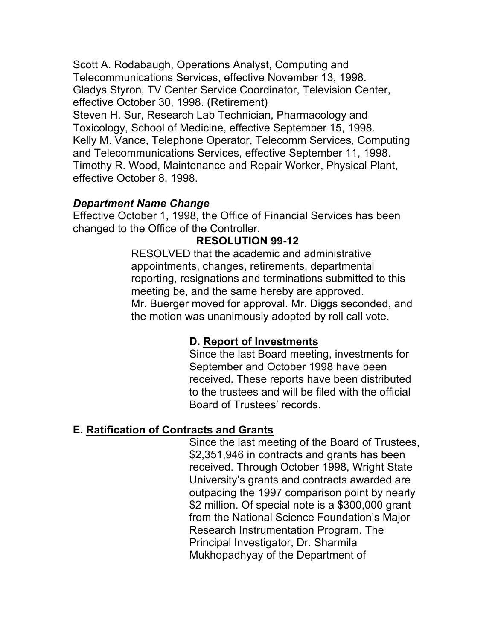Scott A. Rodabaugh, Operations Analyst, Computing and Telecommunications Services, effective November 13, 1998. Gladys Styron, TV Center Service Coordinator, Television Center, effective October 30, 1998. (Retirement) Steven H. Sur, Research Lab Technician, Pharmacology and Toxicology, School of Medicine, effective September 15, 1998.

 Kelly M. Vance, Telephone Operator, Telecomm Services, Computing and Telecommunications Services, effective September 11, 1998. Timothy R. Wood, Maintenance and Repair Worker, Physical Plant, effective October 8, 1998.

#### *Department Name Change*

 Effective October 1, 1998, the Office of Financial Services has been changed to the Office of the Controller.

### **RESOLUTION 99-12**

 RESOLVED that the academic and administrative meeting be, and the same hereby are approved. Mr. Buerger moved for approval. Mr. Diggs seconded, and appointments, changes, retirements, departmental reporting, resignations and terminations submitted to this the motion was unanimously adopted by roll call vote.

### **D. Report of Investments**

 Since the last Board meeting, investments for Board of Trustees' records. September and October 1998 have been received. These reports have been distributed to the trustees and will be filed with the official

### **E. Ratification of Contracts and Grants**

 Since the last meeting of the Board of Trustees, University's grants and contracts awarded are \$2 million. Of special note is a \$300,000 grant Research Instrumentation Program. The Principal Investigator, Dr. Sharmila Mukhopadhyay of the Department of \$2,351,946 in contracts and grants has been received. Through October 1998, Wright State outpacing the 1997 comparison point by nearly from the National Science Foundation's Major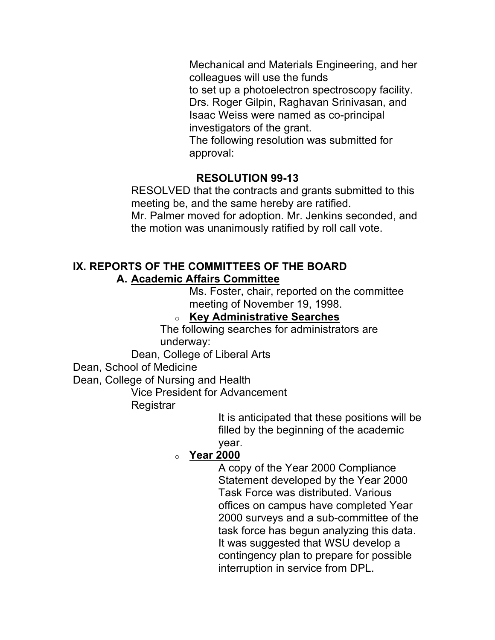Mechanical and Materials Engineering, and her Drs. Roger Gilpin, Raghavan Srinivasan, and colleagues will use the funds to set up a photoelectron spectroscopy facility. Isaac Weiss were named as co-principal investigators of the grant. The following resolution was submitted for approval:

### **RESOLUTION 99-13**

 RESOLVED that the contracts and grants submitted to this meeting be, and the same hereby are ratified. Mr. Palmer moved for adoption. Mr. Jenkins seconded, and the motion was unanimously ratified by roll call vote.

#### **A. Academic Affairs Committee IX. REPORTS OF THE COMMITTEES OF THE BOARD**

 Ms. Foster, chair, reported on the committee meeting of November 19, 1998.

#### o **Key Administrative Searches**

The following searches for administrators are underway:

Dean, College of Liberal Arts

Dean, School of Medicine

Dean, College of Nursing and Health

Vice President for Advancement

**Registrar** 

It is anticipated that these positions will be filled by the beginning of the academic year.

# o **Year 2000**

 A copy of the Year 2000 Compliance Statement developed by the Year 2000 Task Force was distributed. Various offices on campus have completed Year 2000 surveys and a sub-committee of the task force has begun analyzing this data. It was suggested that WSU develop a contingency plan to prepare for possible interruption in service from DPL.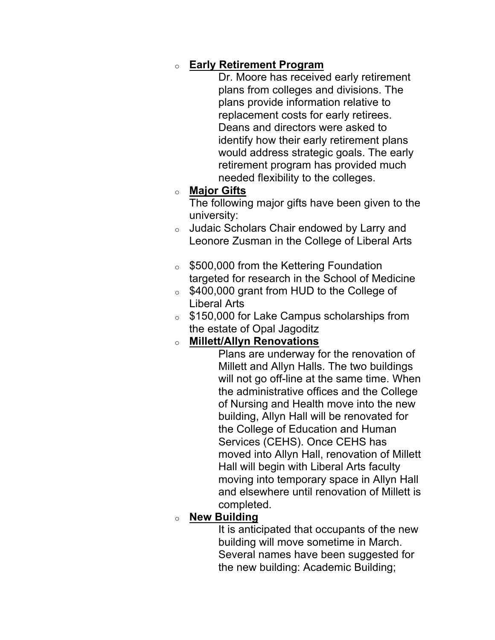### o **Early Retirement Program**

 Dr. Moore has received early retirement Deans and directors were asked to would address strategic goals. The early plans from colleges and divisions. The plans provide information relative to replacement costs for early retirees. identify how their early retirement plans retirement program has provided much needed flexibility to the colleges.

#### o **Major Gifts**

The following major gifts have been given to the university:

- $\circ$  Judaic Scholars Chair endowed by Larry and Leonore Zusman in the College of Liberal Arts
- o \$500,000 from the Kettering Foundation targeted for research in the School of Medicine
- $\circ$  \$400,000 grant from HUD to the College of Liberal Arts
- o \$150,000 for Lake Campus scholarships from the estate of Opal Jagoditz

### o **Millett/Allyn Renovations**

 Millett and Allyn Halls. The two buildings will not go off-line at the same time. When building, Allyn Hall will be renovated for Services (CEHS). Once CEHS has moved into Allyn Hall, renovation of Millett Hall will begin with Liberal Arts faculty moving into temporary space in Allyn Hall and elsewhere until renovation of Millett is Plans are underway for the renovation of the administrative offices and the College of Nursing and Health move into the new the College of Education and Human completed.

#### o **New Building**

 Several names have been suggested for It is anticipated that occupants of the new building will move sometime in March. the new building: Academic Building;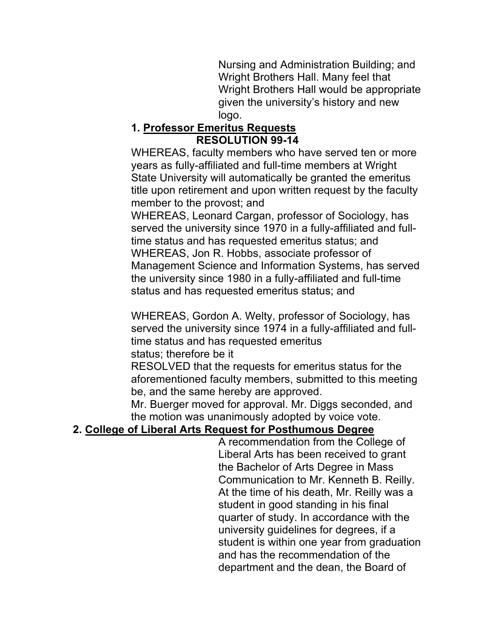Nursing and Administration Building; and Wright Brothers Hall. Many feel that Wright Brothers Hall would be appropriate given the university's history and new logo.

### **1. Professor Emeritus Requests RESOLUTION 99-14**

 WHEREAS, faculty members who have served ten or more years as fully-affiliated and full-time members at Wright member to the provost; and State University will automatically be granted the emeritus title upon retirement and upon written request by the faculty

 WHEREAS, Leonard Cargan, professor of Sociology, has WHEREAS, Jon R. Hobbs, associate professor of Management Science and Information Systems, has served served the university since 1970 in a fully-affiliated and fulltime status and has requested emeritus status; and the university since 1980 in a fully-affiliated and full-time status and has requested emeritus status; and

 WHEREAS, Gordon A. Welty, professor of Sociology, has served the university since 1974 in a fully-affiliated and fulltime status and has requested emeritus status; therefore be it

RESOLVED that the requests for emeritus status for the aforementioned faculty members, submitted to this meeting be, and the same hereby are approved.

 Mr. Buerger moved for approval. Mr. Diggs seconded, and the motion was unanimously adopted by voice vote.

# **2. College of Liberal Arts Request for Posthumous Degree**

 Communication to Mr. Kenneth B. Reilly. At the time of his death, Mr. Reilly was a quarter of study. In accordance with the university guidelines for degrees, if a student is within one year from graduation A recommendation from the College of Liberal Arts has been received to grant the Bachelor of Arts Degree in Mass student in good standing in his final and has the recommendation of the department and the dean, the Board of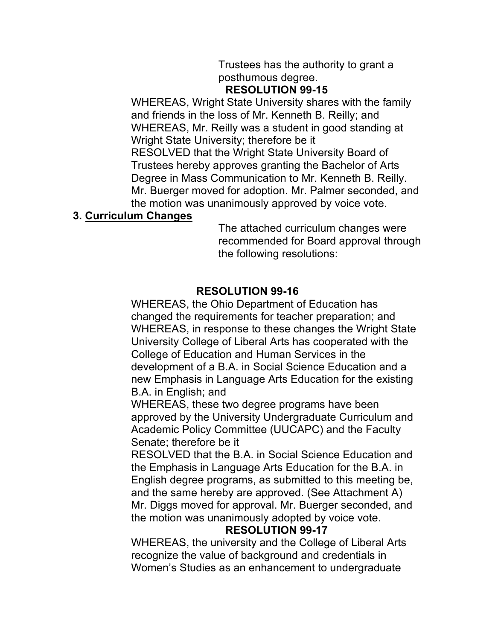# Trustees has the authority to grant a posthumous degree.

#### **RESOLUTION 99-15**

 WHEREAS, Wright State University shares with the family and friends in the loss of Mr. Kenneth B. Reilly; and WHEREAS, Mr. Reilly was a student in good standing at Wright State University; therefore be it RESOLVED that the Wright State University Board of Trustees hereby approves granting the Bachelor of Arts Degree in Mass Communication to Mr. Kenneth B. Reilly. Mr. Buerger moved for adoption. Mr. Palmer seconded, and the motion was unanimously approved by voice vote.

#### **3. Curriculum Changes**

The attached curriculum changes were recommended for Board approval through the following resolutions:

#### **RESOLUTION 99-16**

 WHEREAS, the Ohio Department of Education has changed the requirements for teacher preparation; and WHEREAS, in response to these changes the Wright State University College of Liberal Arts has cooperated with the College of Education and Human Services in the development of a B.A. in Social Science Education and a B.A. in English; and new Emphasis in Language Arts Education for the existing

 WHEREAS, these two degree programs have been approved by the University Undergraduate Curriculum and Academic Policy Committee (UUCAPC) and the Faculty Senate; therefore be it

 RESOLVED that the B.A. in Social Science Education and English degree programs, as submitted to this meeting be, Mr. Diggs moved for approval. Mr. Buerger seconded, and the Emphasis in Language Arts Education for the B.A. in and the same hereby are approved. (See Attachment A) the motion was unanimously adopted by voice vote.

### **RESOLUTION 99-17**

 WHEREAS, the university and the College of Liberal Arts Women's Studies as an enhancement to undergraduate recognize the value of background and credentials in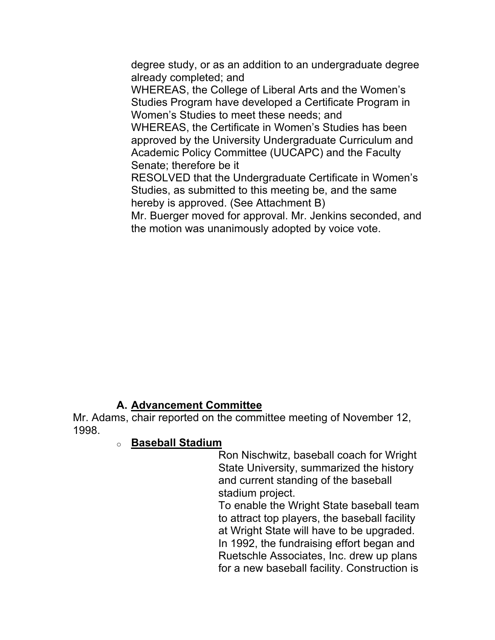degree study, or as an addition to an undergraduate degree already completed; and

 WHEREAS, the College of Liberal Arts and the Women's Studies Program have developed a Certificate Program in Women's Studies to meet these needs; and

 WHEREAS, the Certificate in Women's Studies has been approved by the University Undergraduate Curriculum and Academic Policy Committee (UUCAPC) and the Faculty Senate; therefore be it

 RESOLVED that the Undergraduate Certificate in Women's Studies, as submitted to this meeting be, and the same hereby is approved. (See Attachment B)

 Mr. Buerger moved for approval. Mr. Jenkins seconded, and the motion was unanimously adopted by voice vote.

### **A. Advancement Committee**

 Mr. Adams, chair reported on the committee meeting of November 12, 1998.

#### o **Baseball Stadium**

 Ron Nischwitz, baseball coach for Wright and current standing of the baseball State University, summarized the history stadium project.

 To enable the Wright State baseball team at Wright State will have to be upgraded. Ruetschle Associates, Inc. drew up plans to attract top players, the baseball facility In 1992, the fundraising effort began and for a new baseball facility. Construction is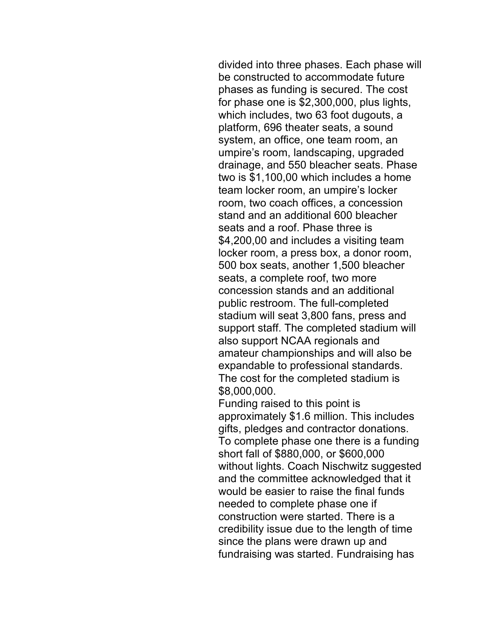phases as funding is secured. The cost which includes, two 63 foot dugouts, a platform, 696 theater seats, a sound system, an office, one team room, an drainage, and 550 bleacher seats. Phase 500 box seats, another 1,500 bleacher stadium will seat 3,800 fans, press and support staff. The completed stadium will expandable to professional standards. The cost for the completed stadium is divided into three phases. Each phase will be constructed to accommodate future for phase one is \$2,300,000, plus lights, umpire's room, landscaping, upgraded two is \$1,100,00 which includes a home team locker room, an umpire's locker room, two coach offices, a concession stand and an additional 600 bleacher seats and a roof. Phase three is \$4,200,00 and includes a visiting team locker room, a press box, a donor room, seats, a complete roof, two more concession stands and an additional public restroom. The full-completed also support NCAA regionals and amateur championships and will also be \$8,000,000.

 gifts, pledges and contractor donations. short fall of \$880,000, or \$600,000 without lights. Coach Nischwitz suggested and the committee acknowledged that it would be easier to raise the final funds Funding raised to this point is approximately \$1.6 million. This includes To complete phase one there is a funding needed to complete phase one if construction were started. There is a credibility issue due to the length of time since the plans were drawn up and fundraising was started. Fundraising has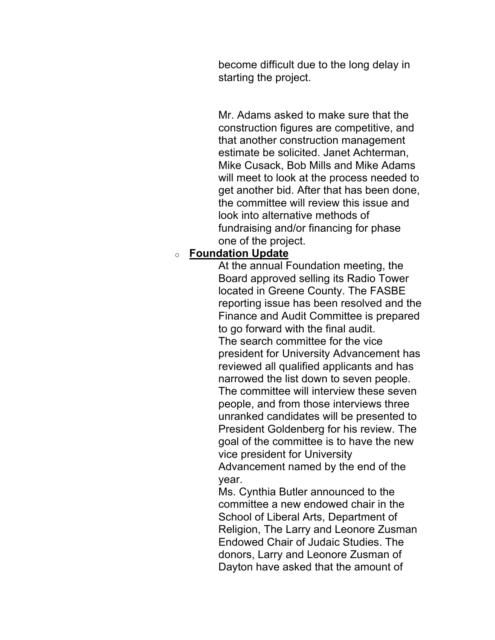become difficult due to the long delay in starting the project.

 Mr. Adams asked to make sure that the estimate be solicited. Janet Achterman, Mike Cusack, Bob Mills and Mike Adams will meet to look at the process needed to get another bid. After that has been done, construction figures are competitive, and that another construction management the committee will review this issue and look into alternative methods of fundraising and/or financing for phase one of the project.

#### o **Foundation Update**

 At the annual Foundation meeting, the president for University Advancement has The committee will interview these seven people, and from those interviews three President Goldenberg for his review. The goal of the committee is to have the new vice president for University Board approved selling its Radio Tower located in Greene County. The FASBE reporting issue has been resolved and the Finance and Audit Committee is prepared to go forward with the final audit. The search committee for the vice reviewed all qualified applicants and has narrowed the list down to seven people. unranked candidates will be presented to Advancement named by the end of the year.

 Ms. Cynthia Butler announced to the School of Liberal Arts, Department of Religion, The Larry and Leonore Zusman Endowed Chair of Judaic Studies. The Dayton have asked that the amount of committee a new endowed chair in the donors, Larry and Leonore Zusman of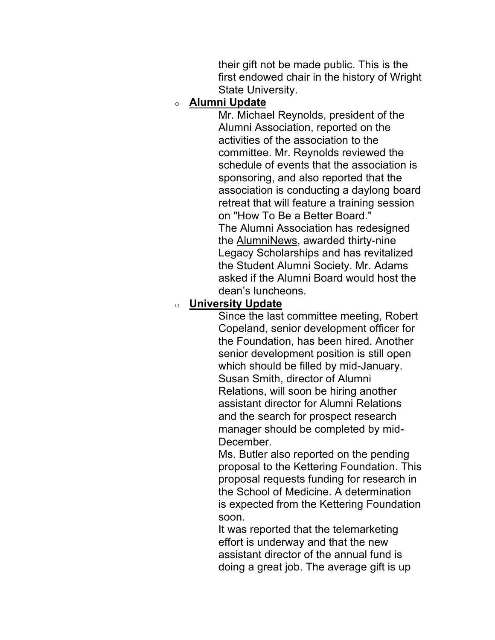first endowed chair in the history of Wright their gift not be made public. This is the State University.

#### o **Alumni Update**

 Mr. Michael Reynolds, president of the committee. Mr. Reynolds reviewed the schedule of events that the association is asked if the Alumni Board would host the Alumni Association, reported on the activities of the association to the sponsoring, and also reported that the association is conducting a daylong board retreat that will feature a training session on "How To Be a Better Board." The Alumni Association has redesigned the AlumniNews, awarded thirty-nine Legacy Scholarships and has revitalized the Student Alumni Society. Mr. Adams dean's luncheons.

### **University Update**

 Since the last committee meeting, Robert Copeland, senior development officer for Susan Smith, director of Alumni Relations, will soon be hiring another assistant director for Alumni Relations and the search for prospect research manager should be completed by midthe Foundation, has been hired. Another senior development position is still open which should be filled by mid-January. December.

 Ms. Butler also reported on the pending proposal to the Kettering Foundation. This proposal requests funding for research in the School of Medicine. A determination is expected from the Kettering Foundation soon.

 assistant director of the annual fund is doing a great job. The average gift is up It was reported that the telemarketing effort is underway and that the new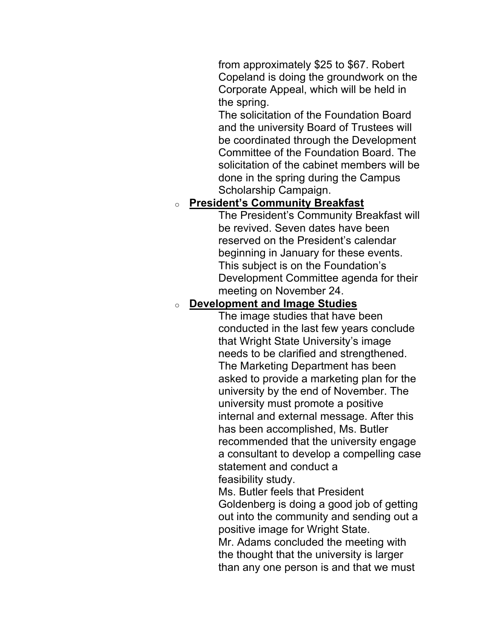Copeland is doing the groundwork on the Corporate Appeal, which will be held in from approximately \$25 to \$67. Robert the spring.

 Committee of the Foundation Board. The solicitation of the cabinet members will be The solicitation of the Foundation Board and the university Board of Trustees will be coordinated through the Development done in the spring during the Campus Scholarship Campaign.

#### o **President's Community Breakfast**

 The President's Community Breakfast will Development Committee agenda for their meeting on November 24. be revived. Seven dates have been reserved on the President's calendar beginning in January for these events. This subject is on the Foundation's

#### o **Development and Image Studies**

 conducted in the last few years conclude university by the end of November. The has been accomplished, Ms. Butler The image studies that have been that Wright State University's image needs to be clarified and strengthened. The Marketing Department has been asked to provide a marketing plan for the university must promote a positive internal and external message. After this recommended that the university engage a consultant to develop a compelling case statement and conduct a feasibility study.

 Ms. Butler feels that President Goldenberg is doing a good job of getting positive image for Wright State. Mr. Adams concluded the meeting with out into the community and sending out a the thought that the university is larger than any one person is and that we must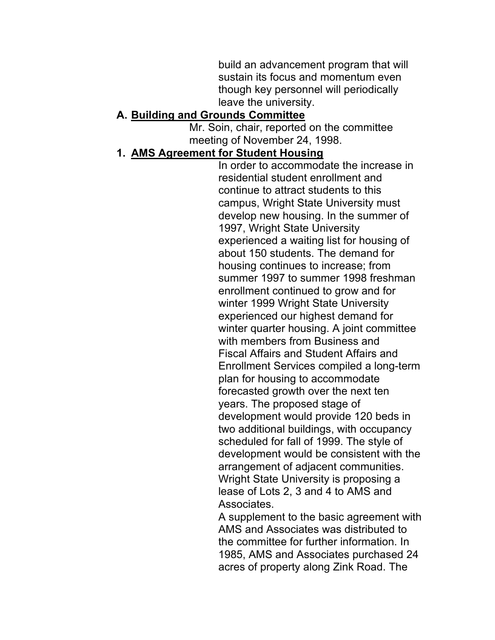build an advancement program that will sustain its focus and momentum even though key personnel will periodically leave the university.

#### **A. Building and Grounds Committee**

 Mr. Soin, chair, reported on the committee meeting of November 24, 1998.

#### **1. AMS Agreement for Student Housing**

 campus, Wright State University must develop new housing. In the summer of 1997, Wright State University housing continues to increase; from enrollment continued to grow and for winter 1999 Wright State University experienced our highest demand for winter quarter housing. A joint committee with members from Business and Enrollment Services compiled a long-term scheduled for fall of 1999. The style of arrangement of adjacent communities. Wright State University is proposing a lease of Lots 2, 3 and 4 to AMS and In order to accommodate the increase in residential student enrollment and continue to attract students to this experienced a waiting list for housing of about 150 students. The demand for summer 1997 to summer 1998 freshman Fiscal Affairs and Student Affairs and plan for housing to accommodate forecasted growth over the next ten years. The proposed stage of development would provide 120 beds in two additional buildings, with occupancy development would be consistent with the Associates.

 A supplement to the basic agreement with AMS and Associates was distributed to the committee for further information. In 1985, AMS and Associates purchased 24 acres of property along Zink Road. The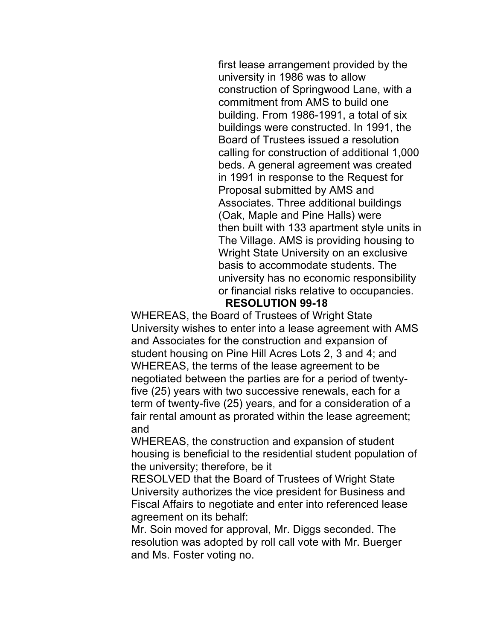commitment from AMS to build one building. From 1986-1991, a total of six buildings were constructed. In 1991, the Board of Trustees issued a resolution beds. A general agreement was created Associates. Three additional buildings Wright State University on an exclusive or financial risks relative to occupancies. first lease arrangement provided by the university in 1986 was to allow construction of Springwood Lane, with a calling for construction of additional 1,000 in 1991 in response to the Request for Proposal submitted by AMS and (Oak, Maple and Pine Halls) were then built with 133 apartment style units in The Village. AMS is providing housing to basis to accommodate students. The university has no economic responsibility

#### **RESOLUTION 99-18**

 WHEREAS, the Board of Trustees of Wright State student housing on Pine Hill Acres Lots 2, 3 and 4; and WHEREAS, the terms of the lease agreement to be University wishes to enter into a lease agreement with AMS and Associates for the construction and expansion of negotiated between the parties are for a period of twentyfive (25) years with two successive renewals, each for a term of twenty-five (25) years, and for a consideration of a fair rental amount as prorated within the lease agreement; and

 WHEREAS, the construction and expansion of student housing is beneficial to the residential student population of the university; therefore, be it

 RESOLVED that the Board of Trustees of Wright State University authorizes the vice president for Business and Fiscal Affairs to negotiate and enter into referenced lease agreement on its behalf:

 Mr. Soin moved for approval, Mr. Diggs seconded. The and Ms. Foster voting no. resolution was adopted by roll call vote with Mr. Buerger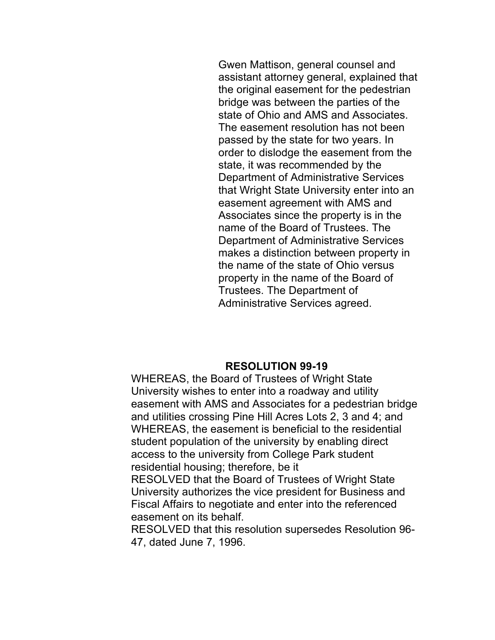Gwen Mattison, general counsel and the original easement for the pedestrian passed by the state for two years. In order to dislodge the easement from the state, it was recommended by the Department of Administrative Services easement agreement with AMS and name of the Board of Trustees. The Department of Administrative Services makes a distinction between property in Trustees. The Department of assistant attorney general, explained that bridge was between the parties of the state of Ohio and AMS and Associates. The easement resolution has not been that Wright State University enter into an Associates since the property is in the the name of the state of Ohio versus property in the name of the Board of Administrative Services agreed.

#### **RESOLUTION 99-19**

 WHEREAS, the Board of Trustees of Wright State University wishes to enter into a roadway and utility and utilities crossing Pine Hill Acres Lots 2, 3 and 4; and WHEREAS, the easement is beneficial to the residential student population of the university by enabling direct easement with AMS and Associates for a pedestrian bridge access to the university from College Park student residential housing; therefore, be it

 RESOLVED that the Board of Trustees of Wright State University authorizes the vice president for Business and Fiscal Affairs to negotiate and enter into the referenced easement on its behalf.

 RESOLVED that this resolution supersedes Resolution 96- 47, dated June 7, 1996.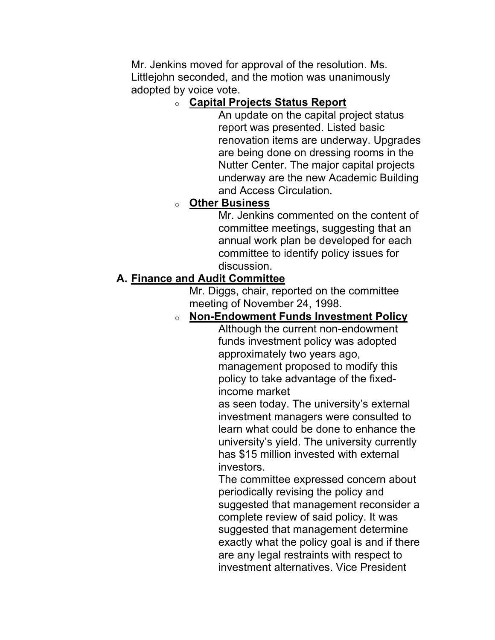Mr. Jenkins moved for approval of the resolution. Ms. Littlejohn seconded, and the motion was unanimously adopted by voice vote.

### o **Capital Projects Status Report**

 An update on the capital project status Nutter Center. The major capital projects report was presented. Listed basic renovation items are underway. Upgrades are being done on dressing rooms in the underway are the new Academic Building and Access Circulation.

### o **Other Business**

 Mr. Jenkins commented on the content of committee to identify policy issues for committee meetings, suggesting that an annual work plan be developed for each discussion.

## **A. Finance and Audit Committee**

 Mr. Diggs, chair, reported on the committee meeting of November 24, 1998.

### o **Non-Endowment Funds Investment Policy**

 management proposed to modify this Although the current non-endowment funds investment policy was adopted approximately two years ago, policy to take advantage of the fixedincome market

as seen today. The university's external investment managers were consulted to learn what could be done to enhance the university's yield. The university currently has \$15 million invested with external investors.

 suggested that management reconsider a complete review of said policy. It was exactly what the policy goal is and if there The committee expressed concern about periodically revising the policy and suggested that management determine are any legal restraints with respect to investment alternatives. Vice President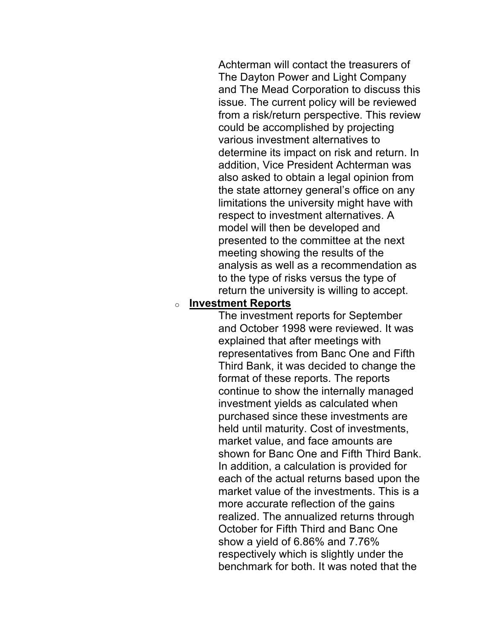Achterman will contact the treasurers of The Dayton Power and Light Company various investment alternatives to model will then be developed and presented to the committee at the next meeting showing the results of the and The Mead Corporation to discuss this issue. The current policy will be reviewed from a risk/return perspective. This review could be accomplished by projecting determine its impact on risk and return. In addition, Vice President Achterman was also asked to obtain a legal opinion from the state attorney general's office on any limitations the university might have with respect to investment alternatives. A analysis as well as a recommendation as to the type of risks versus the type of return the university is willing to accept.

#### o **Investment Reports**

 The investment reports for September and October 1998 were reviewed. It was explained that after meetings with Third Bank, it was decided to change the held until maturity. Cost of investments, market value, and face amounts are each of the actual returns based upon the market value of the investments. This is a more accurate reflection of the gains October for Fifth Third and Banc One show a yield of 6.86% and 7.76% benchmark for both. It was noted that the representatives from Banc One and Fifth format of these reports. The reports continue to show the internally managed investment yields as calculated when purchased since these investments are shown for Banc One and Fifth Third Bank. In addition, a calculation is provided for realized. The annualized returns through respectively which is slightly under the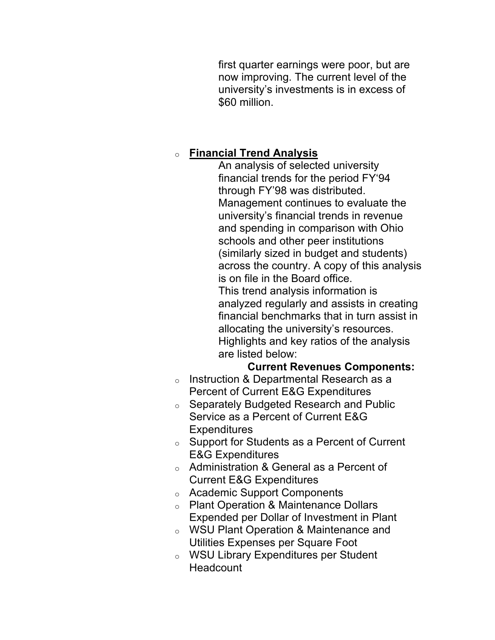now improving. The current level of the first quarter earnings were poor, but are university's investments is in excess of \$60 million.

# o **Financial Trend Analysis**

 An analysis of selected university Management continues to evaluate the schools and other peer institutions across the country. A copy of this analysis Highlights and key ratios of the analysis financial trends for the period FY'94 through FY'98 was distributed. university's financial trends in revenue and spending in comparison with Ohio (similarly sized in budget and students) is on file in the Board office. This trend analysis information is analyzed regularly and assists in creating financial benchmarks that in turn assist in allocating the university's resources. are listed below:

#### **Current Revenues Components:**

- Percent of Current E&G Expenditures o Instruction & Departmental Research as a
- Service as a Percent of Current E&G o Separately Budgeted Research and Public **Expenditures**
- $\circ$  Support for Students as a Percent of Current E&G Expenditures
- $\circ$  Administration & General as a Percent of Current E&G Expenditures
- o Academic Support Components
- Expended per Dollar of Investment in Plant o Plant Operation & Maintenance Dollars
- o WSU Plant Operation & Maintenance and Utilities Expenses per Square Foot
- o WSU Library Expenditures per Student **Headcount**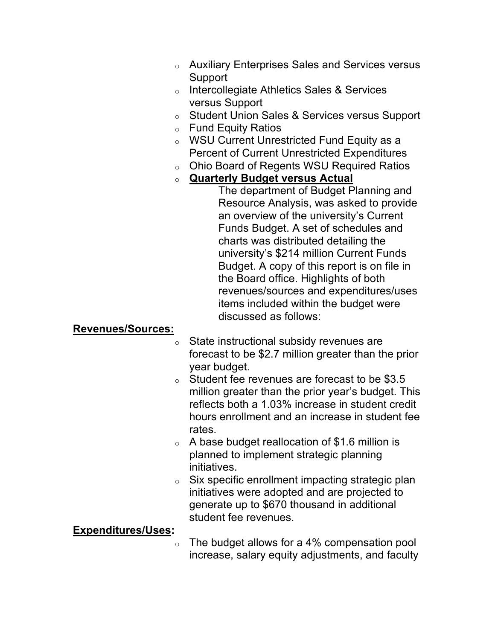- o Auxiliary Enterprises Sales and Services versus Support
- o Intercollegiate Athletics Sales & Services versus Support
- o Student Union Sales & Services versus Support
- o Fund Equity Ratios
- o WSU Current Unrestricted Fund Equity as a Percent of Current Unrestricted Expenditures
- o Ohio Board of Regents WSU Required Ratios
- o **Quarterly Budget versus Actual**

The department of Budget Planning and Resource Analysis, was asked to provide an overview of the university's Current Funds Budget. A set of schedules and charts was distributed detailing the university's \$214 million Current Funds Budget. A copy of this report is on file in the Board office. Highlights of both revenues/sources and expenditures/uses items included within the budget were discussed as follows:

#### **Revenues/Sources:**

- $\circ$  State instructional subsidy revenues are forecast to be \$2.7 million greater than the prior year budget.
- o Student fee revenues are forecast to be \$3.5 million greater than the prior year's budget. This reflects both a 1.03% increase in student credit hours enrollment and an increase in student fee rates.
- $\circ$  A base budget reallocation of \$1.6 million is planned to implement strategic planning initiatives.
- $\circ$  Six specific enrollment impacting strategic plan initiatives were adopted and are projected to generate up to \$670 thousand in additional student fee revenues.

### **Expenditures/Uses:**

 $\circ$  The budget allows for a 4% compensation pool increase, salary equity adjustments, and faculty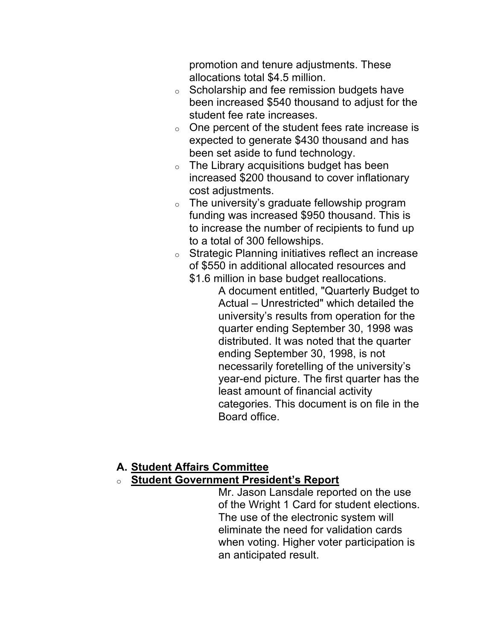promotion and tenure adjustments. These allocations total \$4.5 million.

- been increased \$540 thousand to adjust for the  $\circ$  Scholarship and fee remission budgets have student fee rate increases.
- $\circ$  One percent of the student fees rate increase is expected to generate \$430 thousand and has been set aside to fund technology.
- $\circ$  The Library acquisitions budget has been increased \$200 thousand to cover inflationary cost adjustments.
- $\circ$  The university's graduate fellowship program funding was increased \$950 thousand. This is to increase the number of recipients to fund up to a total of 300 fellowships.
- $\circ$  Strategic Planning initiatives reflect an increase of \$550 in additional allocated resources and \$1.6 million in base budget reallocations.
	- A document entitled, "Quarterly Budget to quarter ending September 30, 1998 was distributed. It was noted that the quarter ending September 30, 1998, is not year-end picture. The first quarter has the Actual – Unrestricted" which detailed the university's results from operation for the necessarily foretelling of the university's least amount of financial activity categories. This document is on file in the Board office.

# **A. Student Affairs Committee**

### o **Student Government President's Report**

 Mr. Jason Lansdale reported on the use of the Wright 1 Card for student elections. The use of the electronic system will when voting. Higher voter participation is eliminate the need for validation cards an anticipated result.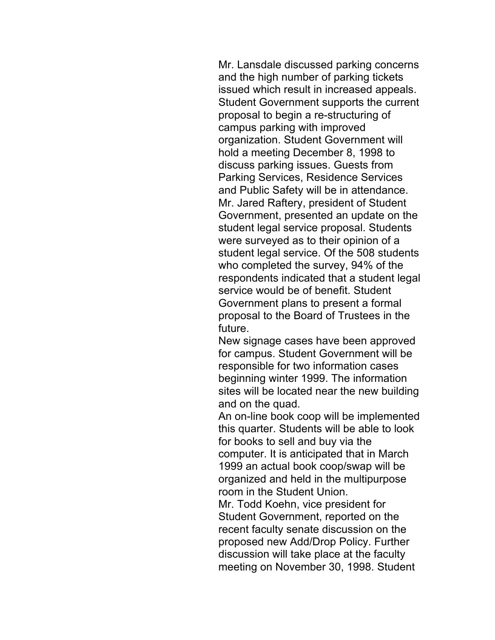Mr. Lansdale discussed parking concerns and the high number of parking tickets Student Government supports the current organization. Student Government will hold a meeting December 8, 1998 to Mr. Jared Raftery, president of Student Government, presented an update on the student legal service proposal. Students were surveyed as to their opinion of a student legal service. Of the 508 students who completed the survey, 94% of the service would be of benefit. Student Government plans to present a formal issued which result in increased appeals. proposal to begin a re-structuring of campus parking with improved discuss parking issues. Guests from Parking Services, Residence Services and Public Safety will be in attendance. respondents indicated that a student legal proposal to the Board of Trustees in the future.

 New signage cases have been approved beginning winter 1999. The information sites will be located near the new building for campus. Student Government will be responsible for two information cases and on the quad.

 computer. It is anticipated that in March An on-line book coop will be implemented this quarter. Students will be able to look for books to sell and buy via the 1999 an actual book coop/swap will be organized and held in the multipurpose room in the Student Union.

 Mr. Todd Koehn, vice president for proposed new Add/Drop Policy. Further meeting on November 30, 1998. Student Student Government, reported on the recent faculty senate discussion on the discussion will take place at the faculty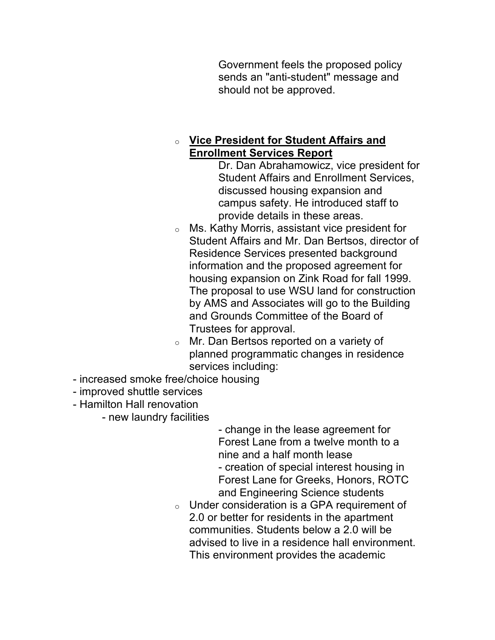Government feels the proposed policy sends an "anti-student" message and should not be approved.

#### o **Vice President for Student Affairs and Enrollment Services Report**

 Dr. Dan Abrahamowicz, vice president for Student Affairs and Enrollment Services, discussed housing expansion and campus safety. He introduced staff to provide details in these areas.

- $\circ$  Ms. Kathy Morris, assistant vice president for Student Affairs and Mr. Dan Bertsos, director of Residence Services presented background housing expansion on Zink Road for fall 1999. The proposal to use WSU land for construction information and the proposed agreement for by AMS and Associates will go to the Building and Grounds Committee of the Board of Trustees for approval.
- $\circ$  Mr. Dan Bertsos reported on a variety of planned programmatic changes in residence services including:
- increased smoke free/choice housing
- improved shuttle services
- Hamilton Hall renovation
	- new laundry facilities

 Forest Lane from a twelve month to a Forest Lane for Greeks, Honors, ROTC - change in the lease agreement for nine and a half month lease - creation of special interest housing in and Engineering Science students

 $\circ$  Under consideration is a GPA requirement of 2.0 or better for residents in the apartment communities. Students below a 2.0 will be advised to live in a residence hall environment. This environment provides the academic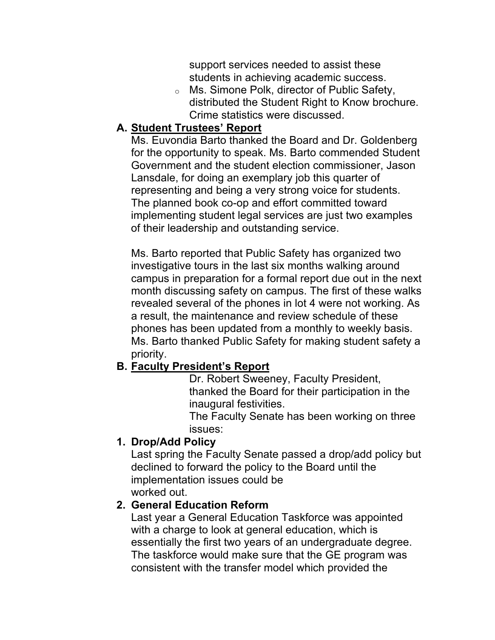support services needed to assist these students in achieving academic success.

 o Ms. Simone Polk, director of Public Safety, distributed the Student Right to Know brochure. Crime statistics were discussed.

#### **A. Student Trustees' Report**

 Ms. Euvondia Barto thanked the Board and Dr. Goldenberg Government and the student election commissioner, Jason Lansdale, for doing an exemplary job this quarter of implementing student legal services are just two examples of their leadership and outstanding service. for the opportunity to speak. Ms. Barto commended Student representing and being a very strong voice for students. The planned book co-op and effort committed toward

 Ms. Barto reported that Public Safety has organized two campus in preparation for a formal report due out in the next month discussing safety on campus. The first of these walks Ms. Barto thanked Public Safety for making student safety a investigative tours in the last six months walking around revealed several of the phones in lot 4 were not working. As a result, the maintenance and review schedule of these phones has been updated from a monthly to weekly basis. priority.

#### **B. Faculty President's Report**

 Dr. Robert Sweeney, Faculty President, thanked the Board for their participation in the inaugural festivities.

The Faculty Senate has been working on three issues:

### **1. Drop/Add Policy**

Last spring the Faculty Senate passed a drop/add policy but declined to forward the policy to the Board until the implementation issues could be worked out.

### **2. General Education Reform**

 Last year a General Education Taskforce was appointed consistent with the transfer model which provided the with a charge to look at general education, which is essentially the first two years of an undergraduate degree. The taskforce would make sure that the GE program was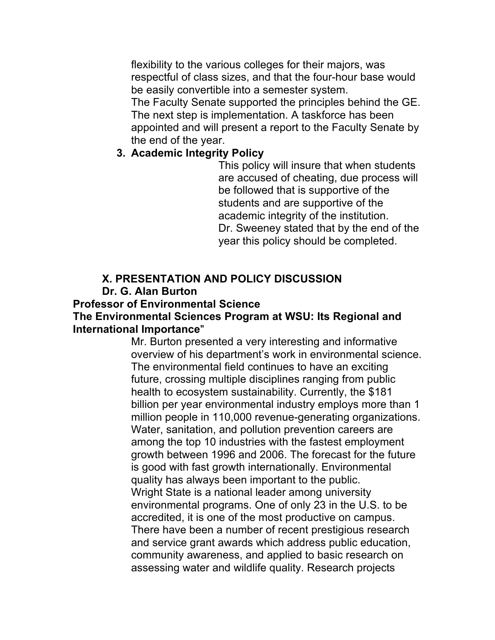flexibility to the various colleges for their majors, was respectful of class sizes, and that the four-hour base would be easily convertible into a semester system.

The Faculty Senate supported the principles behind the GE. The next step is implementation. A taskforce has been appointed and will present a report to the Faculty Senate by the end of the year.

#### **3. Academic Integrity Policy**

 This policy will insure that when students are accused of cheating, due process will academic integrity of the institution. Dr. Sweeney stated that by the end of the year this policy should be completed. be followed that is supportive of the students and are supportive of the

# **X. PRESENTATION AND POLICY DISCUSSION**

# **Dr. G. Alan Burton**

#### **Professor of Environmental Science**

#### **The Environmental Sciences Program at WSU: Its Regional and International Importance**"

 Mr. Burton presented a very interesting and informative overview of his department's work in environmental science. health to ecosystem sustainability. Currently, the \$181 billion per year environmental industry employs more than 1 million people in 110,000 revenue-generating organizations. Water, sanitation, and pollution prevention careers are growth between 1996 and 2006. The forecast for the future Wright State is a national leader among university environmental programs. One of only 23 in the U.S. to be accredited, it is one of the most productive on campus. There have been a number of recent prestigious research The environmental field continues to have an exciting future, crossing multiple disciplines ranging from public among the top 10 industries with the fastest employment is good with fast growth internationally. Environmental quality has always been important to the public. and service grant awards which address public education, community awareness, and applied to basic research on assessing water and wildlife quality. Research projects